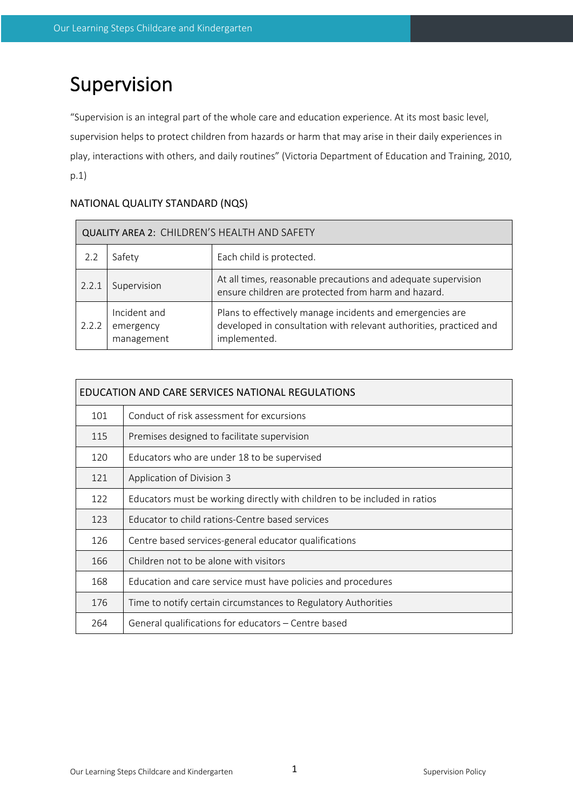# Supervision

"Supervision is an integral part of the whole care and education experience. At its most basic level, supervision helps to protect children from hazards or harm that may arise in their daily experiences in play, interactions with others, and daily routines" (Victoria Department of Education and Training, 2010, p.1)

# NATIONAL QUALITY STANDARD (NQS)

| QUALITY AREA 2: CHILDREN'S HEALTH AND SAFETY |                                         |                                                                                                                                                 |  |  |  |
|----------------------------------------------|-----------------------------------------|-------------------------------------------------------------------------------------------------------------------------------------------------|--|--|--|
| 2.2                                          | Safety                                  | Each child is protected.                                                                                                                        |  |  |  |
| 2.2.1                                        | Supervision                             | At all times, reasonable precautions and adequate supervision<br>ensure children are protected from harm and hazard.                            |  |  |  |
| 2.2.2                                        | Incident and<br>emergency<br>management | Plans to effectively manage incidents and emergencies are<br>developed in consultation with relevant authorities, practiced and<br>implemented. |  |  |  |

| EDUCATION AND CARE SERVICES NATIONAL REGULATIONS |                                                                           |  |  |  |
|--------------------------------------------------|---------------------------------------------------------------------------|--|--|--|
| 101                                              | Conduct of risk assessment for excursions                                 |  |  |  |
| 115                                              | Premises designed to facilitate supervision                               |  |  |  |
| 120                                              | Educators who are under 18 to be supervised                               |  |  |  |
| 121                                              | Application of Division 3                                                 |  |  |  |
| 122                                              | Educators must be working directly with children to be included in ratios |  |  |  |
| 123                                              | Educator to child rations-Centre based services                           |  |  |  |
| 126                                              | Centre based services-general educator qualifications                     |  |  |  |
| 166                                              | Children not to be alone with visitors                                    |  |  |  |
| 168                                              | Education and care service must have policies and procedures              |  |  |  |
| 176                                              | Time to notify certain circumstances to Regulatory Authorities            |  |  |  |
| 264                                              | General qualifications for educators - Centre based                       |  |  |  |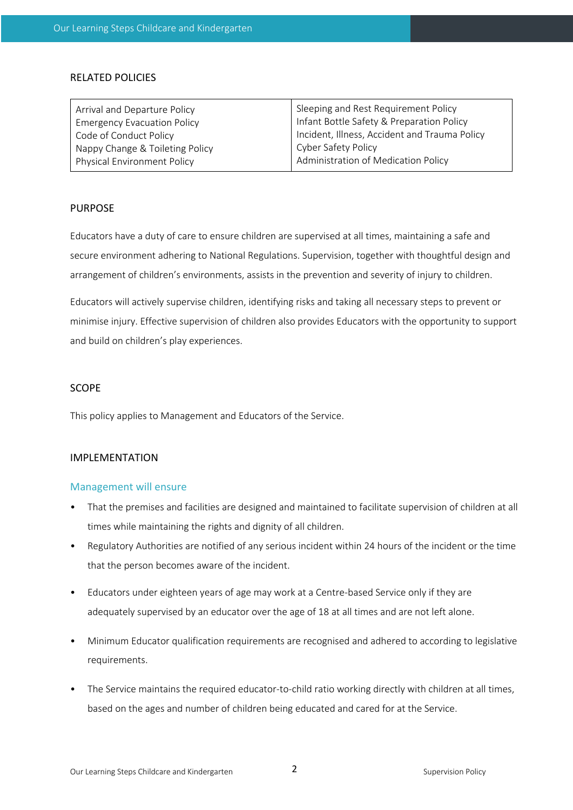## RELATED POLICIES

| Arrival and Departure Policy       | Sleeping and Rest Requirement Policy          |  |
|------------------------------------|-----------------------------------------------|--|
| <b>Emergency Evacuation Policy</b> | Infant Bottle Safety & Preparation Policy     |  |
| Code of Conduct Policy             | Incident, Illness, Accident and Trauma Policy |  |
| Nappy Change & Toileting Policy    | Cyber Safety Policy                           |  |
| <b>Physical Environment Policy</b> | Administration of Medication Policy           |  |
|                                    |                                               |  |

## PURPOSE

Educators have a duty of care to ensure children are supervised at all times, maintaining a safe and secure environment adhering to National Regulations. Supervision, together with thoughtful design and arrangement of children's environments, assists in the prevention and severity of injury to children.

Educators will actively supervise children, identifying risks and taking all necessary steps to prevent or minimise injury. Effective supervision of children also provides Educators with the opportunity to support and build on children's play experiences.

#### SCOPE

This policy applies to Management and Educators of the Service.

# IMPLEMENTATION

#### Management will ensure

- That the premises and facilities are designed and maintained to facilitate supervision of children at all times while maintaining the rights and dignity of all children.
- Regulatory Authorities are notified of any serious incident within 24 hours of the incident or the time that the person becomes aware of the incident.
- Educators under eighteen years of age may work at a Centre-based Service only if they are adequately supervised by an educator over the age of 18 at all times and are not left alone.
- Minimum Educator qualification requirements are recognised and adhered to according to legislative requirements.
- The Service maintains the required educator-to-child ratio working directly with children at all times, based on the ages and number of children being educated and cared for at the Service.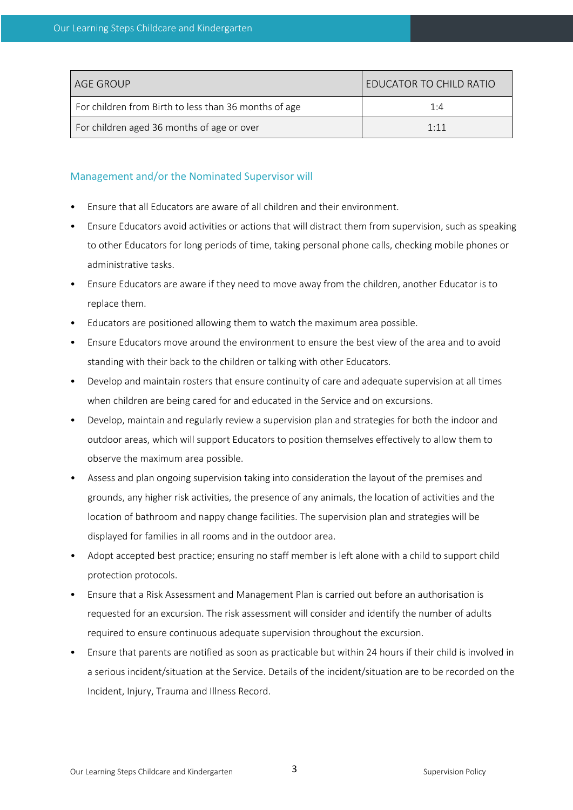| AGE GROUP                                             | I EDUCATOR TO CHILD RATIO |  |
|-------------------------------------------------------|---------------------------|--|
| For children from Birth to less than 36 months of age | 1·4                       |  |
| For children aged 36 months of age or over            | 1:11                      |  |

# Management and/or the Nominated Supervisor will

- Ensure that all Educators are aware of all children and their environment.
- Ensure Educators avoid activities or actions that will distract them from supervision, such as speaking to other Educators for long periods of time, taking personal phone calls, checking mobile phones or administrative tasks.
- Ensure Educators are aware if they need to move away from the children, another Educator is to replace them.
- Educators are positioned allowing them to watch the maximum area possible.
- Ensure Educators move around the environment to ensure the best view of the area and to avoid standing with their back to the children or talking with other Educators.
- Develop and maintain rosters that ensure continuity of care and adequate supervision at all times when children are being cared for and educated in the Service and on excursions.
- Develop, maintain and regularly review a supervision plan and strategies for both the indoor and outdoor areas, which will support Educators to position themselves effectively to allow them to observe the maximum area possible.
- Assess and plan ongoing supervision taking into consideration the layout of the premises and grounds, any higher risk activities, the presence of any animals, the location of activities and the location of bathroom and nappy change facilities. The supervision plan and strategies will be displayed for families in all rooms and in the outdoor area.
- Adopt accepted best practice; ensuring no staff member is left alone with a child to support child protection protocols.
- Ensure that a Risk Assessment and Management Plan is carried out before an authorisation is requested for an excursion. The risk assessment will consider and identify the number of adults required to ensure continuous adequate supervision throughout the excursion.
- Ensure that parents are notified as soon as practicable but within 24 hours if their child is involved in a serious incident/situation at the Service. Details of the incident/situation are to be recorded on the Incident, Injury, Trauma and Illness Record.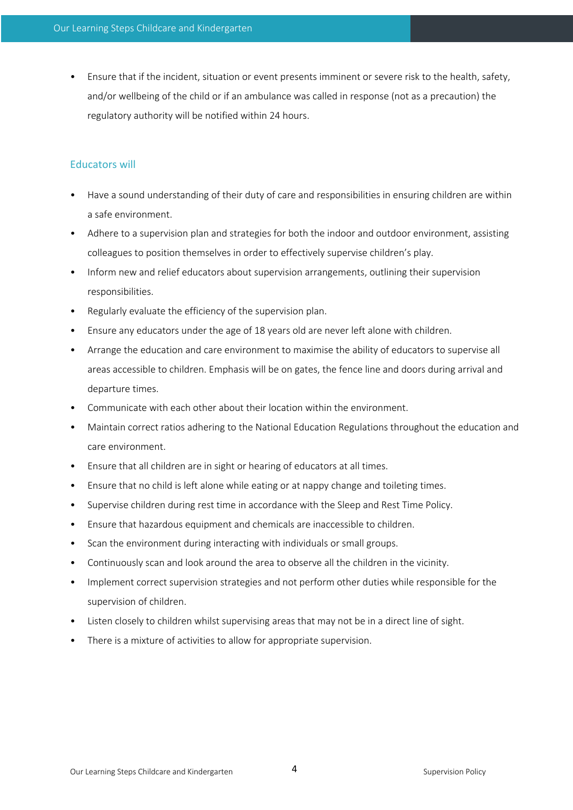• Ensure that if the incident, situation or event presents imminent or severe risk to the health, safety, and/or wellbeing of the child or if an ambulance was called in response (not as a precaution) the regulatory authority will be notified within 24 hours.

## Educators will

- Have a sound understanding of their duty of care and responsibilities in ensuring children are within a safe environment.
- Adhere to a supervision plan and strategies for both the indoor and outdoor environment, assisting colleagues to position themselves in order to effectively supervise children's play.
- Inform new and relief educators about supervision arrangements, outlining their supervision responsibilities.
- Regularly evaluate the efficiency of the supervision plan.
- Ensure any educators under the age of 18 years old are never left alone with children.
- Arrange the education and care environment to maximise the ability of educators to supervise all areas accessible to children. Emphasis will be on gates, the fence line and doors during arrival and departure times.
- Communicate with each other about their location within the environment.
- Maintain correct ratios adhering to the National Education Regulations throughout the education and care environment.
- Ensure that all children are in sight or hearing of educators at all times.
- Ensure that no child is left alone while eating or at nappy change and toileting times.
- Supervise children during rest time in accordance with the Sleep and Rest Time Policy.
- Ensure that hazardous equipment and chemicals are inaccessible to children.
- Scan the environment during interacting with individuals or small groups.
- Continuously scan and look around the area to observe all the children in the vicinity.
- Implement correct supervision strategies and not perform other duties while responsible for the supervision of children.
- Listen closely to children whilst supervising areas that may not be in a direct line of sight.
- There is a mixture of activities to allow for appropriate supervision.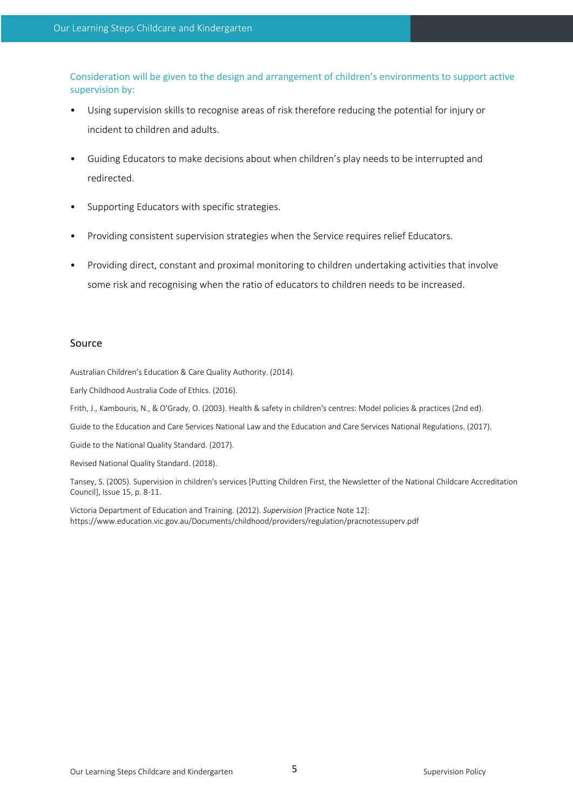Consideration will be given to the design and arrangement of children's environments to support active supervision by:

- Using supervision skills to recognise areas of risk therefore reducing the potential for injury or incident to children and adults.
- Guiding Educators to make decisions about when children's play needs to be interrupted and redirected.
- Supporting Educators with specific strategies.
- Providing consistent supervision strategies when the Service requires relief Educators.
- Providing direct, constant and proximal monitoring to children undertaking activities that involve some risk and recognising when the ratio of educators to children needs to be increased.

### Source

Australian Children's Education & Care Quality Authority. (2014).

Early Childhood Australia Code of Ethics. (2016).

Frith, J., Kambouris, N., & O'Grady, O. (2003). Health & safety in children's centres: Model policies & practices (2nd ed).

Guide to the Education and Care Services National Law and the Education and Care Services National Regulations. (2017).

Guide to the National Quality Standard. (2017).

Revised National Quality Standard. (2018).

Tansey, S. (2005). Supervision in children's services [Putting Children First, the Newsletter of the National Childcare Accreditation Council], Issue 15, p. 8-11.

Victoria Department of Education and Training. (2012). *Supervision* [Practice Note 12]: https://www.education.vic.gov.au/Documents/childhood/providers/regulation/pracnotessuperv.pdf